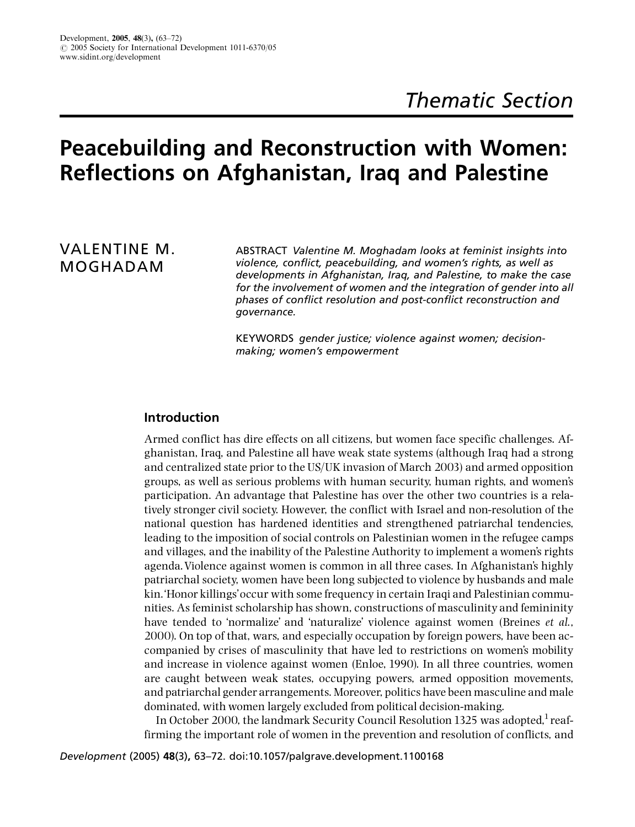# Peacebuilding and Reconstruction with Women: Reflections on Afghanistan, Iraq and Palestine

# VALENTINE M. MOGHADAM

ABSTRACT Valentine M. Moghadam looks at feminist insights into violence, conflict, peacebuilding, and women's rights, as well as developments in Afghanistan, Iraq, and Palestine, to make the case for the involvement of women and the integration of gender into all phases of conflict resolution and post-conflict reconstruction and governance.

KEYWORDS gender justice; violence against women; decisionmaking; women's empowerment

#### Introduction

Armed conflict has dire effects on all citizens, but women face specific challenges. Afghanistan, Iraq, and Palestine all have weak state systems (although Iraq had a strong and centralized state prior to the US/UK invasion of March 2003) and armed opposition groups, as well as serious problems with human security, human rights, and women's participation. An advantage that Palestine has over the other two countries is a relatively stronger civil society. However, the conflict with Israel and non-resolution of the national question has hardened identities and strengthened patriarchal tendencies, leading to the imposition of social controls on Palestinian women in the refugee camps and villages, and the inability of the Palestine Authority to implement a women's rights agenda.Violence against women is common in all three cases. In Afghanistan's highly patriarchal society, women have been long subjected to violence by husbands and male kin.'Honor killings'occur with some frequency in certain Iraqi and Palestinian communities. As feminist scholarship has shown, constructions of masculinity and femininity have tended to 'normalize' and 'naturalize' violence against women (Breines et al., 2000). On top of that, wars, and especially occupation by foreign powers, have been accompanied by crises of masculinity that have led to restrictions on women's mobility and increase in violence against women (Enloe, 1990). In all three countries, women are caught between weak states, occupying powers, armed opposition movements, and patriarchal gender arrangements. Moreover, politics have been masculine and male dominated, with women largely excluded from political decision-making.

In October 2000, the landmark Security Council Resolution 1325 was adopted, $^1$  reaffirming the important role of women in the prevention and resolution of conflicts, and

Development (2005) 48(3), 63–72. doi:10.1057/palgrave.development.1100168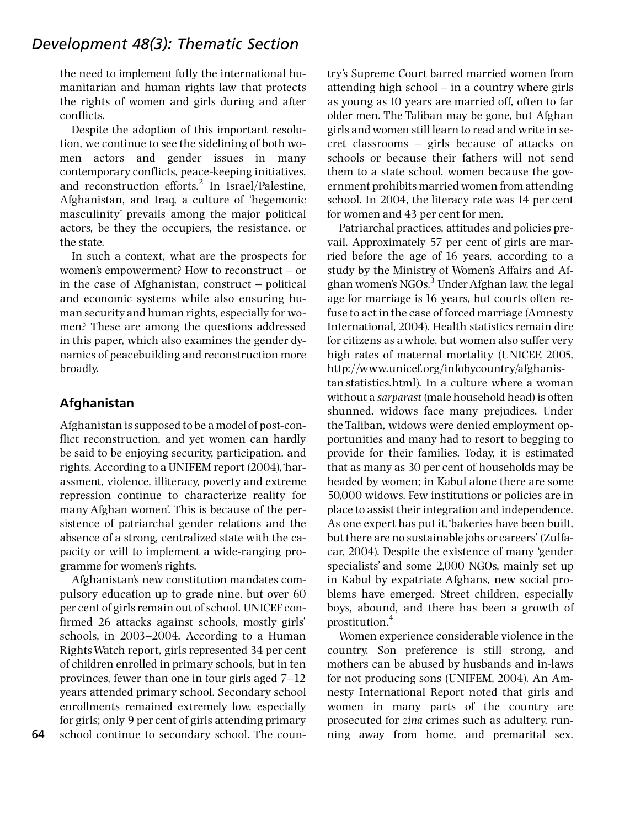the need to implement fully the international humanitarian and human rights law that protects the rights of women and girls during and after conflicts.

Despite the adoption of this important resolution, we continue to see the sidelining of both women actors and gender issues in many contemporary conflicts, peace-keeping initiatives, and reconstruction efforts.<sup>2</sup> In Israel/Palestine, Afghanistan, and Iraq, a culture of 'hegemonic masculinity' prevails among the major political actors, be they the occupiers, the resistance, or the state.

In such a context, what are the prospects for women's empowerment? How to reconstruct  $-$  or in the case of Afghanistan, construct  $-$  political and economic systems while also ensuring human security and human rights, especially for women? These are among the questions addressed in this paper, which also examines the gender dynamics of peacebuilding and reconstruction more broadly.

#### Afghanistan

Afghanistan is supposed to be a model of post-conflict reconstruction, and yet women can hardly be said to be enjoying security, participation, and rights. According to a UNIFEM report (2004), harassment, violence, illiteracy, poverty and extreme repression continue to characterize reality for many Afghan women'. This is because of the persistence of patriarchal gender relations and the absence of a strong, centralized state with the capacity or will to implement a wide-ranging programme for women's rights.

Afghanistan's new constitution mandates compulsory education up to grade nine, but over 60 per cent of girls remain out of school. UNICEF confirmed 26 attacks against schools, mostly girls' schools, in 2003–2004. According to a Human RightsWatch report, girls represented 34 per cent of children enrolled in primary schools, but in ten provinces, fewer than one in four girls aged  $7-12$ years attended primary school. Secondary school enrollments remained extremely low, especially for girls; only 9 per cent of girls attending primary school continue to secondary school. The coun-

try's Supreme Court barred married women from attending high school  $-$  in a country where girls as young as 10 years are married off, often to far older men. The Taliban may be gone, but Afghan girls and women still learn to read and write in secret classrooms  $-$  girls because of attacks on schools or because their fathers will not send them to a state school, women because the government prohibits married women from attending school. In 2004, the literacy rate was 14 per cent for women and 43 per cent for men.

Patriarchal practices, attitudes and policies prevail. Approximately 57 per cent of girls are married before the age of 16 years, according to a study by the Ministry of Women's Affairs and Afghan women's NGOs.<sup>3</sup> Under Afghan law, the legal age for marriage is 16 years, but courts often refuse to act in the case of forced marriage (Amnesty International, 2004). Health statistics remain dire for citizens as a whole, but women also suffer very high rates of maternal mortality (UNICEF, 2005, http://www.unicef.org/infobycountry/afghanistan<sub>statistics.html</sub>). In a culture where a woman without a sarparast (male household head) is often shunned, widows face many prejudices. Under the Taliban, widows were denied employment opportunities and many had to resort to begging to provide for their families. Today, it is estimated that as many as 30 per cent of households may be headed by women; in Kabul alone there are some 50,000 widows. Few institutions or policies are in place to assist their integration and independence. As one expert has put it,'bakeries have been built, but there are no sustainable jobs or careers' (Zulfacar, 2004). Despite the existence of many 'gender specialists' and some 2,000 NGOs, mainly set up in Kabul by expatriate Afghans, new social problems have emerged. Street children, especially boys, abound, and there has been a growth of prostitution.4

Women experience considerable violence in the country. Son preference is still strong, and mothers can be abused by husbands and in-laws for not producing sons (UNIFEM, 2004). An Amnesty International Report noted that girls and women in many parts of the country are prosecuted for zina crimes such as adultery, running away from home, and premarital sex.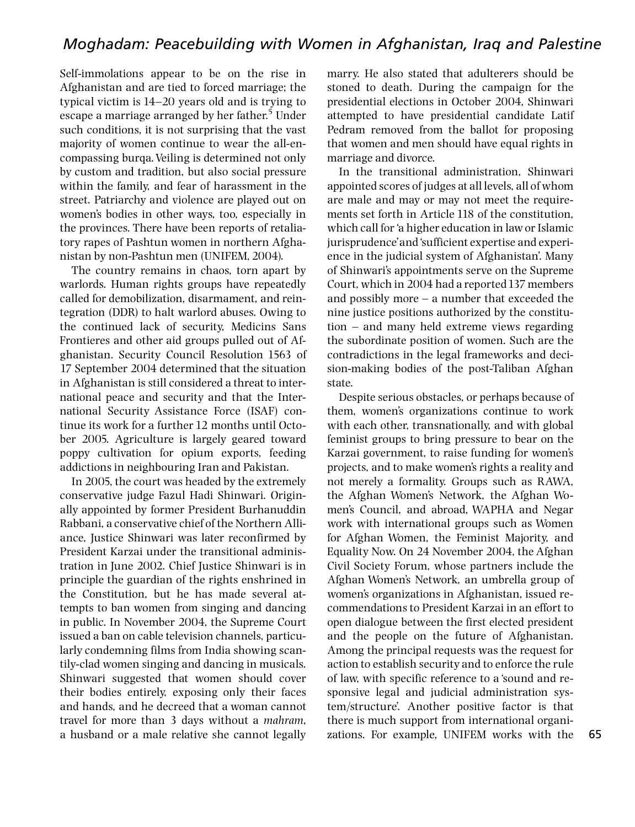Self-immolations appear to be on the rise in Afghanistan and are tied to forced marriage; the typical victim is 14^20 years old and is trying to escape a marriage arranged by her father.<sup>5</sup> Under such conditions, it is not surprising that the vast majority of women continue to wear the all-encompassing burqa.Veiling is determined not only by custom and tradition, but also social pressure within the family, and fear of harassment in the street. Patriarchy and violence are played out on women's bodies in other ways, too, especially in the provinces. There have been reports of retaliatory rapes of Pashtun women in northern Afghanistan by non-Pashtun men (UNIFEM, 2004).

The country remains in chaos, torn apart by warlords. Human rights groups have repeatedly called for demobilization, disarmament, and reintegration (DDR) to halt warlord abuses. Owing to the continued lack of security, Medicins Sans Frontieres and other aid groups pulled out of Afghanistan. Security Council Resolution 1563 of 17 September 2004 determined that the situation in Afghanistan is still considered a threat to international peace and security and that the International Security Assistance Force (ISAF) continue its work for a further 12 months until October 2005. Agriculture is largely geared toward poppy cultivation for opium exports, feeding addictions in neighbouring Iran and Pakistan.

In 2005, the court was headed by the extremely conservative judge Fazul Hadi Shinwari. Originally appointed by former President Burhanuddin Rabbani, a conservative chief of the Northern Alliance, Justice Shinwari was later reconfirmed by President Karzai under the transitional administration in June 2002. Chief Justice Shinwari is in principle the guardian of the rights enshrined in the Constitution, but he has made several attempts to ban women from singing and dancing in public. In November 2004, the Supreme Court issued a ban on cable television channels, particularly condemning films from India showing scantily-clad women singing and dancing in musicals. Shinwari suggested that women should cover their bodies entirely, exposing only their faces and hands, and he decreed that a woman cannot travel for more than 3 days without a mahram, a husband or a male relative she cannot legally marry. He also stated that adulterers should be stoned to death. During the campaign for the presidential elections in October 2004, Shinwari attempted to have presidential candidate Latif Pedram removed from the ballot for proposing that women and men should have equal rights in marriage and divorce.

In the transitional administration, Shinwari appointed scores of judges at all levels, all of whom are male and may or may not meet the requirements set forth in Article 118 of the constitution, which call for 'a higher education in law or Islamic jurisprudence'and'sufficient expertise and experience in the judicial system of Afghanistan'. Many of Shinwari's appointments serve on the Supreme Court, which in 2004 had a reported 137 members and possibly more  $-$  a number that exceeded the nine justice positions authorized by the constitu $tion - and many held extreme views regarding$ the subordinate position of women. Such are the contradictions in the legal frameworks and decision-making bodies of the post-Taliban Afghan state.

Despite serious obstacles, or perhaps because of them, women's organizations continue to work with each other, transnationally, and with global feminist groups to bring pressure to bear on the Karzai government, to raise funding for women's projects, and to make women's rights a reality and not merely a formality. Groups such as RAWA, the Afghan Women's Network, the Afghan Women's Council, and abroad, WAPHA and Negar work with international groups such as Women for Afghan Women, the Feminist Majority, and Equality Now. On 24 November 2004, the Afghan Civil Society Forum, whose partners include the Afghan Women's Network, an umbrella group of women's organizations in Afghanistan, issued recommendations to President Karzai in an effort to open dialogue between the first elected president and the people on the future of Afghanistan. Among the principal requests was the request for action to establish security and to enforce the rule of law, with specific reference to a 'sound and responsive legal and judicial administration system/structure'. Another positive factor is that there is much support from international organizations. For example, UNIFEM works with the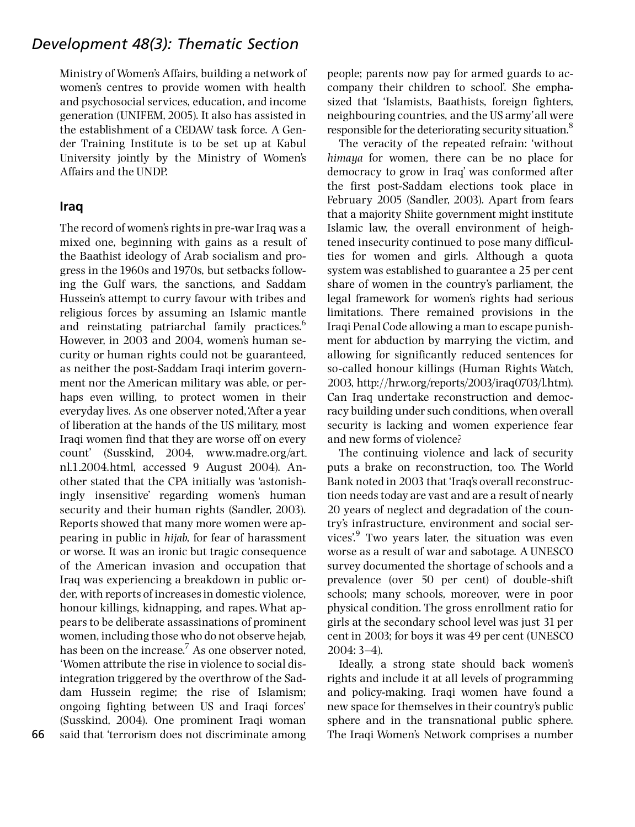Ministry of Women's Affairs, building a network of women's centres to provide women with health and psychosocial services, education, and income generation (UNIFEM, 2005). It also has assisted in the establishment of a CEDAW task force. A Gender Training Institute is to be set up at Kabul University jointly by the Ministry of Women's Affairs and the UNDP.

#### Iraq

The record of women's rights in pre-war Iraq was a mixed one, beginning with gains as a result of the Baathist ideology of Arab socialism and progress in the 1960s and 1970s, but setbacks following the Gulf wars, the sanctions, and Saddam Hussein's attempt to curry favour with tribes and religious forces by assuming an Islamic mantle and reinstating patriarchal family practices.<sup>6</sup> However, in 2003 and 2004, women's human security or human rights could not be guaranteed, as neither the post-Saddam Iraqi interim government nor the American military was able, or perhaps even willing, to protect women in their everyday lives. As one observer noted,'After a year of liberation at the hands of the US military, most Iraqi women find that they are worse off on every count' (Susskind, 2004, www.madre.org/art\_ nl\_1\_2004.html, accessed 9 August 2004). Another stated that the CPA initially was 'astonishingly insensitive' regarding women's human security and their human rights (Sandler, 2003). Reports showed that many more women were appearing in public in hijab, for fear of harassment or worse. It was an ironic but tragic consequence of the American invasion and occupation that Iraq was experiencing a breakdown in public order, with reports of increases in domestic violence, honour killings, kidnapping, and rapes.What appears to be deliberate assassinations of prominent women, including those who do not observe hejab, has been on the increase.<sup>7</sup> As one observer noted, 'Women attribute the rise in violence to social disintegration triggered by the overthrow of the Saddam Hussein regime; the rise of Islamism; ongoing fighting between US and Iraqi forces' (Susskind, 2004). One prominent Iraqi woman said that 'terrorism does not discriminate among

people; parents now pay for armed guards to accompany their children to school'. She emphasized that 'Islamists, Baathists, foreign fighters, neighbouring countries, and the US army'all were responsible for the deteriorating security situation.<sup>8</sup>

The veracity of the repeated refrain: 'without himaya for women, there can be no place for democracy to grow in Iraq' was conformed after the first post-Saddam elections took place in February 2005 (Sandler, 2003). Apart from fears that a majority Shiite government might institute Islamic law, the overall environment of heightened insecurity continued to pose many difficulties for women and girls. Although a quota system was established to guarantee a 25 per cent share of women in the country's parliament, the legal framework for women's rights had serious limitations. There remained provisions in the Iraqi Penal Code allowing a man to escape punishment for abduction by marrying the victim, and allowing for significantly reduced sentences for so-called honour killings (Human Rights Watch, 2003, http://hrw.org/reports/2003/iraq0703/l.htm). Can Iraq undertake reconstruction and democracy building under such conditions, when overall security is lacking and women experience fear and new forms of violence?

The continuing violence and lack of security puts a brake on reconstruction, too. The World Bank noted in 2003 that 'Iraq's overall reconstruction needs today are vast and are a result of nearly 20 years of neglect and degradation of the country's infrastructure, environment and social services'.9 Two years later, the situation was even worse as a result of war and sabotage. A UNESCO survey documented the shortage of schools and a prevalence (over 50 per cent) of double-shift schools; many schools, moreover, were in poor physical condition. The gross enrollment ratio for girls at the secondary school level was just 31 per cent in 2003; for boys it was 49 per cent (UNESCO  $2004: 3-4$ ).

Ideally, a strong state should back women's rights and include it at all levels of programming and policy-making. Iraqi women have found a new space for themselves in their country's public sphere and in the transnational public sphere. The Iraqi Women's Network comprises a number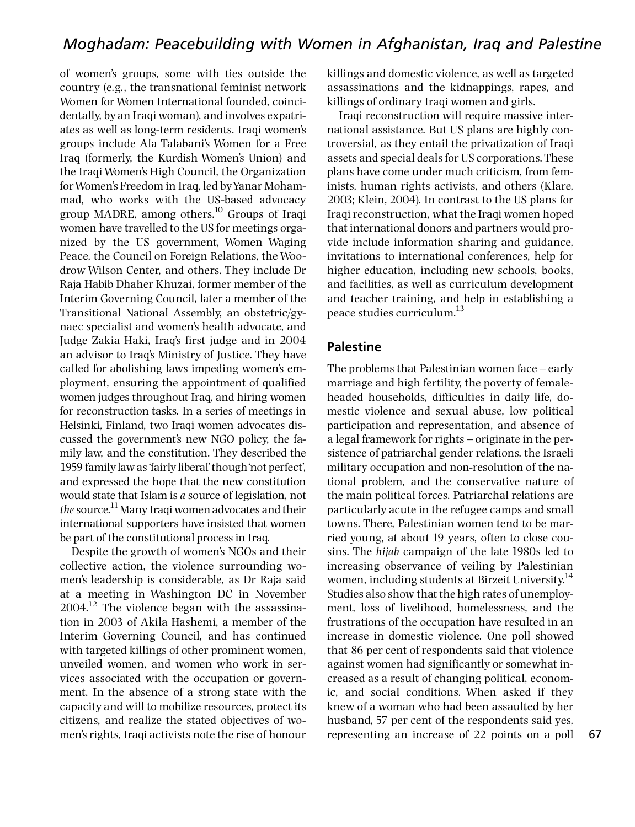### Moghadam: Peacebuilding with Women in Afghanistan, Iraq and Palestine

of women's groups, some with ties outside the country (e.g., the transnational feminist network Women for Women International founded, coincidentally, by an Iraqi woman), and involves expatriates as well as long-term residents. Iraqi women's groups include Ala Talabani's Women for a Free Iraq (formerly, the Kurdish Women's Union) and the Iraqi Women's High Council, the Organization forWomen's Freedom in Iraq, led byYanar Mohammad, who works with the US-based advocacy group MADRE, among others.10 Groups of Iraqi women have travelled to the US for meetings organized by the US government, Women Waging Peace, the Council on Foreign Relations, the Woodrow Wilson Center, and others. They include Dr Raja Habib Dhaher Khuzai, former member of the Interim Governing Council, later a member of the Transitional National Assembly, an obstetric/gynaec specialist and women's health advocate, and Judge Zakia Haki, Iraq's first judge and in 2004 an advisor to Iraq's Ministry of Justice. They have called for abolishing laws impeding women's employment, ensuring the appointment of qualified women judges throughout Iraq, and hiring women for reconstruction tasks. In a series of meetings in Helsinki, Finland, two Iraqi women advocates discussed the government's new NGO policy, the family law, and the constitution. They described the 1959 familylaw as'fairly liberal'though'not perfect', and expressed the hope that the new constitution would state that Islam is a source of legislation, not the source.<sup>11</sup> Many Iraqi women advocates and their international supporters have insisted that women be part of the constitutional process in Iraq.

Despite the growth of women's NGOs and their collective action, the violence surrounding women's leadership is considerable, as Dr Raja said at a meeting in Washington DC in November  $2004<sup>12</sup>$  The violence began with the assassination in 2003 of Akila Hashemi, a member of the Interim Governing Council, and has continued with targeted killings of other prominent women, unveiled women, and women who work in services associated with the occupation or government. In the absence of a strong state with the capacity and will to mobilize resources, protect its citizens, and realize the stated objectives of women's rights, Iraqi activists note the rise of honour killings and domestic violence, as well as targeted assassinations and the kidnappings, rapes, and killings of ordinary Iraqi women and girls.

Iraqi reconstruction will require massive international assistance. But US plans are highly controversial, as they entail the privatization of Iraqi assets and special deals for US corporations. These plans have come under much criticism, from feminists, human rights activists, and others (Klare, 2003; Klein, 2004). In contrast to the US plans for Iraqi reconstruction, what the Iraqi women hoped that international donors and partners would provide include information sharing and guidance, invitations to international conferences, help for higher education, including new schools, books, and facilities, as well as curriculum development and teacher training, and help in establishing a peace studies curriculum.13

#### Palestine

The problems that Palestinian women face  $-$  early marriage and high fertility, the poverty of femaleheaded households, difficulties in daily life, domestic violence and sexual abuse, low political participation and representation, and absence of a legal framework for rights – originate in the persistence of patriarchal gender relations, the Israeli military occupation and non-resolution of the national problem, and the conservative nature of the main political forces. Patriarchal relations are particularly acute in the refugee camps and small towns. There, Palestinian women tend to be married young, at about 19 years, often to close cousins. The hijab campaign of the late 1980s led to increasing observance of veiling by Palestinian women, including students at Birzeit University.<sup>14</sup> Studies also show that the high rates of unemployment, loss of livelihood, homelessness, and the frustrations of the occupation have resulted in an increase in domestic violence. One poll showed that 86 per cent of respondents said that violence against women had significantly or somewhat increased as a result of changing political, economic, and social conditions. When asked if they knew of a woman who had been assaulted by her husband, 57 per cent of the respondents said yes, representing an increase of 22 points on a poll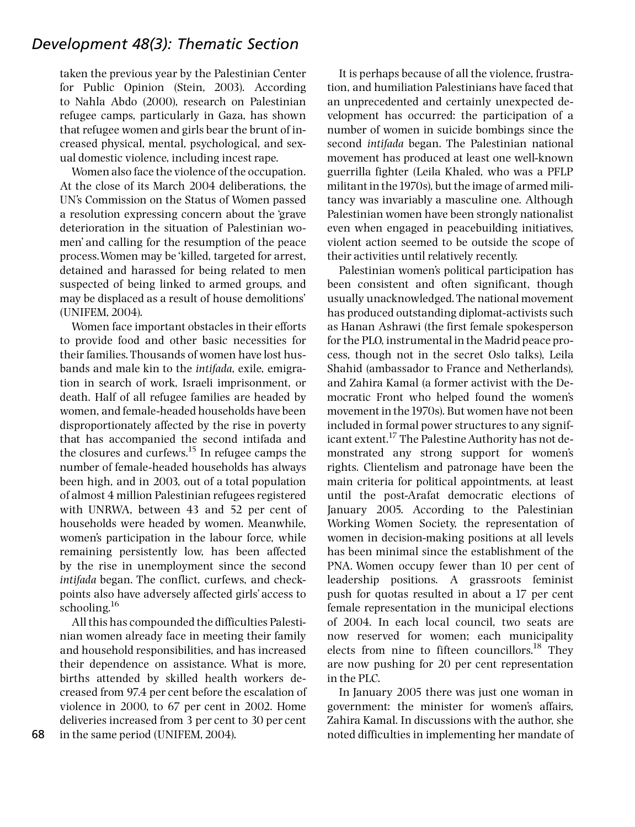taken the previous year by the Palestinian Center for Public Opinion (Stein, 2003). According to Nahla Abdo (2000), research on Palestinian refugee camps, particularly in Gaza, has shown that refugee women and girls bear the brunt of increased physical, mental, psychological, and sexual domestic violence, including incest rape.

Women also face the violence of the occupation. At the close of its March 2004 deliberations, the UN's Commission on the Status of Women passed a resolution expressing concern about the 'grave deterioration in the situation of Palestinian women' and calling for the resumption of the peace process.Women may be 'killed, targeted for arrest, detained and harassed for being related to men suspected of being linked to armed groups, and may be displaced as a result of house demolitions' (UNIFEM, 2004).

Women face important obstacles in their efforts to provide food and other basic necessities for their families. Thousands of women have lost husbands and male kin to the intifada, exile, emigration in search of work, Israeli imprisonment, or death. Half of all refugee families are headed by women, and female-headed households have been disproportionately affected by the rise in poverty that has accompanied the second intifada and the closures and curfews.<sup>15</sup> In refugee camps the number of female-headed households has always been high, and in 2003, out of a total population of almost 4 million Palestinian refugees registered with UNRWA, between 43 and 52 per cent of households were headed by women. Meanwhile, women's participation in the labour force, while remaining persistently low, has been affected by the rise in unemployment since the second intifada began. The conflict, curfews, and checkpoints also have adversely affected girls' access to schooling. $16$ 

All this has compounded the difficulties Palestinian women already face in meeting their family and household responsibilities, and has increased their dependence on assistance. What is more, births attended by skilled health workers decreased from 97.4 per cent before the escalation of violence in 2000, to 67 per cent in 2002. Home deliveries increased from 3 per cent to 30 per cent in the same period (UNIFEM, 2004).

It is perhaps because of all the violence, frustration, and humiliation Palestinians have faced that an unprecedented and certainly unexpected development has occurred: the participation of a number of women in suicide bombings since the second intifada began. The Palestinian national movement has produced at least one well-known guerrilla fighter (Leila Khaled, who was a PFLP militant in the 1970s), but the image of armed militancy was invariably a masculine one. Although Palestinian women have been strongly nationalist even when engaged in peacebuilding initiatives, violent action seemed to be outside the scope of their activities until relatively recently.

Palestinian women's political participation has been consistent and often significant, though usually unacknowledged. The national movement has produced outstanding diplomat-activists such as Hanan Ashrawi (the first female spokesperson for the PLO, instrumental in the Madrid peace process, though not in the secret Oslo talks), Leila Shahid (ambassador to France and Netherlands), and Zahira Kamal (a former activist with the Democratic Front who helped found the women's movement in the 1970s). But women have not been included in formal power structures to any significant extent.<sup>17</sup> The Palestine Authority has not demonstrated any strong support for women's rights. Clientelism and patronage have been the main criteria for political appointments, at least until the post-Arafat democratic elections of January 2005. According to the Palestinian Working Women Society, the representation of women in decision-making positions at all levels has been minimal since the establishment of the PNA. Women occupy fewer than 10 per cent of leadership positions. A grassroots feminist push for quotas resulted in about a 17 per cent female representation in the municipal elections of 2004. In each local council, two seats are now reserved for women; each municipality elects from nine to fifteen councillors.<sup>18</sup> They are now pushing for 20 per cent representation in the PLC.

In January 2005 there was just one woman in government: the minister for women's affairs, Zahira Kamal. In discussions with the author, she noted difficulties in implementing her mandate of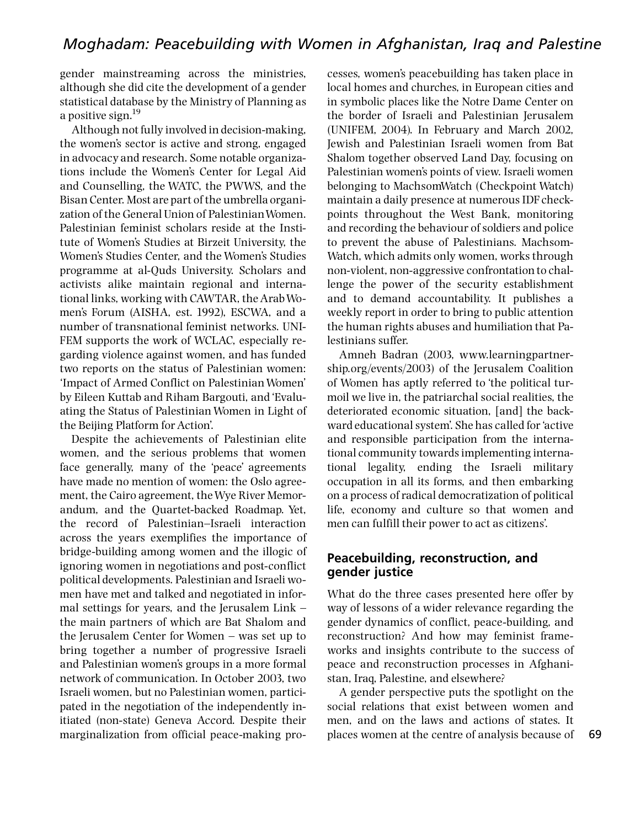### Moghadam: Peacebuilding with Women in Afghanistan, Iraq and Palestine

gender mainstreaming across the ministries, although she did cite the development of a gender statistical database by the Ministry of Planning as a positive sign.<sup>19</sup>

Although not fully involved in decision-making, the women's sector is active and strong, engaged in advocacy and research. Some notable organizations include the Women's Center for Legal Aid and Counselling, the WATC, the PWWS, and the Bisan Center. Most are part of the umbrella organization of the General Union of PalestinianWomen. Palestinian feminist scholars reside at the Institute of Women's Studies at Birzeit University, the Women's Studies Center, and the Women's Studies programme at al-Quds University. Scholars and activists alike maintain regional and international links, working with CAWTAR, the ArabWomen's Forum (AISHA, est. 1992), ESCWA, and a number of transnational feminist networks. UNI-FEM supports the work of WCLAC, especially regarding violence against women, and has funded two reports on the status of Palestinian women: 'Impact of Armed Conflict on PalestinianWomen' by Eileen Kuttab and Riham Bargouti, and 'Evaluating the Status of PalestinianWomen in Light of the Beijing Platform for Action'.

Despite the achievements of Palestinian elite women, and the serious problems that women face generally, many of the 'peace' agreements have made no mention of women: the Oslo agreement, the Cairo agreement, theWye River Memorandum, and the Quartet-backed Roadmap. Yet, the record of Palestinian^Israeli interaction across the years exemplifies the importance of bridge-building among women and the illogic of ignoring women in negotiations and post-conflict political developments. Palestinian and Israeli women have met and talked and negotiated in informal settings for years, and the Jerusalem Link  $$ the main partners of which are Bat Shalom and the Jerusalem Center for Women – was set up to bring together a number of progressive Israeli and Palestinian women's groups in a more formal network of communication. In October 2003, two Israeli women, but no Palestinian women, participated in the negotiation of the independently initiated (non-state) Geneva Accord. Despite their marginalization from official peace-making pro-

cesses, women's peacebuilding has taken place in local homes and churches, in European cities and in symbolic places like the Notre Dame Center on the border of Israeli and Palestinian Jerusalem (UNIFEM, 2004). In February and March 2002, Jewish and Palestinian Israeli women from Bat Shalom together observed Land Day, focusing on Palestinian women's points of view. Israeli women belonging to MachsomWatch (Checkpoint Watch) maintain a daily presence at numerous IDF checkpoints throughout the West Bank, monitoring and recording the behaviour of soldiers and police to prevent the abuse of Palestinians. Machsom-Watch, which admits only women, works through non-violent, non-aggressive confrontation to challenge the power of the security establishment and to demand accountability. It publishes a weekly report in order to bring to public attention the human rights abuses and humiliation that Palestinians suffer.

Amneh Badran (2003, www.learningpartnership.org/events/2003) of the Jerusalem Coalition of Women has aptly referred to 'the political turmoil we live in, the patriarchal social realities, the deteriorated economic situation, [and] the backward educational system'. She has called for 'active and responsible participation from the international community towards implementing international legality, ending the Israeli military occupation in all its forms, and then embarking on a process of radical democratization of political life, economy and culture so that women and men can fulfill their power to act as citizens'.

#### Peacebuilding, reconstruction, and gender justice

What do the three cases presented here offer by way of lessons of a wider relevance regarding the gender dynamics of conflict, peace-building, and reconstruction? And how may feminist frameworks and insights contribute to the success of peace and reconstruction processes in Afghanistan, Iraq, Palestine, and elsewhere?

A gender perspective puts the spotlight on the social relations that exist between women and men, and on the laws and actions of states. It places women at the centre of analysis because of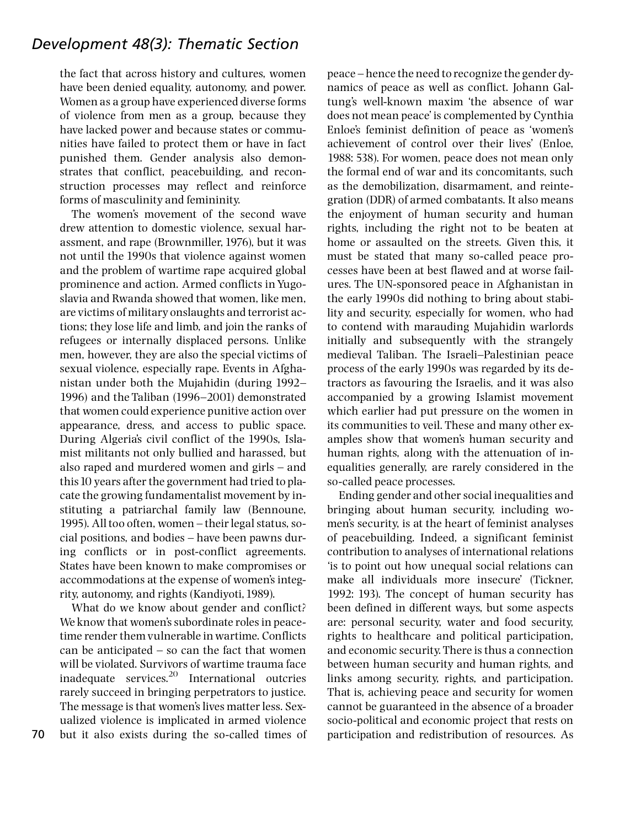the fact that across history and cultures, women have been denied equality, autonomy, and power. Women as a group have experienced diverse forms of violence from men as a group, because they have lacked power and because states or communities have failed to protect them or have in fact punished them. Gender analysis also demonstrates that conflict, peacebuilding, and reconstruction processes may reflect and reinforce forms of masculinity and femininity.

The women's movement of the second wave drew attention to domestic violence, sexual harassment, and rape (Brownmiller, 1976), but it was not until the 1990s that violence against women and the problem of wartime rape acquired global prominence and action. Armed conflicts in Yugoslavia and Rwanda showed that women, like men, are victims of military onslaughts and terrorist actions; they lose life and limb, and join the ranks of refugees or internally displaced persons. Unlike men, however, they are also the special victims of sexual violence, especially rape. Events in Afghanistan under both the Mujahidin (during 1992^ 1996) and the Taliban (1996–2001) demonstrated that women could experience punitive action over appearance, dress, and access to public space. During Algeria's civil conflict of the 1990s, Islamist militants not only bullied and harassed, but also raped and murdered women and girls  $-$  and this10 years after the government had tried to placate the growing fundamentalist movement by instituting a patriarchal family law (Bennoune, 1995). All too often, women – their legal status, social positions, and bodies ^ have been pawns during conflicts or in post-conflict agreements. States have been known to make compromises or accommodations at the expense of women's integrity, autonomy, and rights (Kandiyoti,1989).

What do we know about gender and conflict? We know that women's subordinate roles in peacetime render them vulnerable in wartime. Conflicts can be anticipated  $-$  so can the fact that women will be violated. Survivors of wartime trauma face inadequate services.20 International outcries rarely succeed in bringing perpetrators to justice. The message is that women's lives matter less. Sexualized violence is implicated in armed violence but it also exists during the so-called times of peace ^ hence the need to recognize the gender dynamics of peace as well as conflict. Johann Galtung's well-known maxim 'the absence of war does not mean peace' is complemented by Cynthia Enloe's feminist definition of peace as 'women's achievement of control over their lives' (Enloe, 1988: 538). For women, peace does not mean only the formal end of war and its concomitants, such as the demobilization, disarmament, and reintegration (DDR) of armed combatants. It also means the enjoyment of human security and human rights, including the right not to be beaten at home or assaulted on the streets. Given this, it must be stated that many so-called peace processes have been at best flawed and at worse failures. The UN-sponsored peace in Afghanistan in the early 1990s did nothing to bring about stability and security, especially for women, who had to contend with marauding Mujahidin warlords initially and subsequently with the strangely medieval Taliban. The Israeli^Palestinian peace process of the early 1990s was regarded by its detractors as favouring the Israelis, and it was also accompanied by a growing Islamist movement which earlier had put pressure on the women in its communities to veil. These and many other examples show that women's human security and human rights, along with the attenuation of inequalities generally, are rarely considered in the so-called peace processes.

Ending gender and other social inequalities and bringing about human security, including women's security, is at the heart of feminist analyses of peacebuilding. Indeed, a significant feminist contribution to analyses of international relations 'is to point out how unequal social relations can make all individuals more insecure' (Tickner, 1992: 193). The concept of human security has been defined in different ways, but some aspects are: personal security, water and food security, rights to healthcare and political participation, and economic security. There is thus a connection between human security and human rights, and links among security, rights, and participation. That is, achieving peace and security for women cannot be guaranteed in the absence of a broader socio-political and economic project that rests on participation and redistribution of resources. As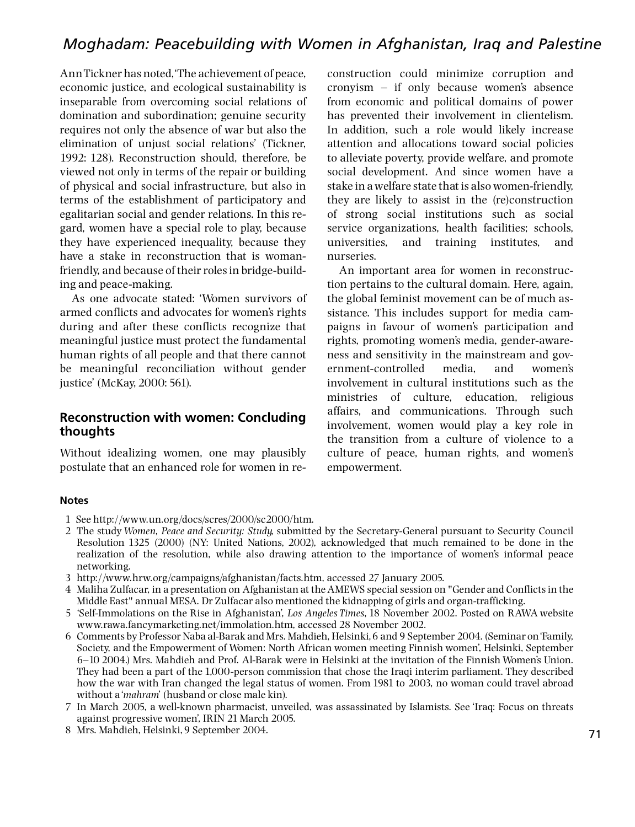# Moghadam: Peacebuilding with Women in Afghanistan, Iraq and Palestine

AnnTickner has noted,'The achievement of peace, economic justice, and ecological sustainability is inseparable from overcoming social relations of domination and subordination; genuine security requires not only the absence of war but also the elimination of unjust social relations' (Tickner, 1992: 128). Reconstruction should, therefore, be viewed not only in terms of the repair or building of physical and social infrastructure, but also in terms of the establishment of participatory and egalitarian social and gender relations. In this regard, women have a special role to play, because they have experienced inequality, because they have a stake in reconstruction that is womanfriendly, and because of their roles in bridge-building and peace-making.

As one advocate stated: 'Women survivors of armed conflicts and advocates for women's rights during and after these conflicts recognize that meaningful justice must protect the fundamental human rights of all people and that there cannot be meaningful reconciliation without gender justice' (McKay, 2000: 561).

#### Reconstruction with women: Concluding thoughts

Without idealizing women, one may plausibly postulate that an enhanced role for women in re-

construction could minimize corruption and cronyism  $-$  if only because women's absence from economic and political domains of power has prevented their involvement in clientelism. In addition, such a role would likely increase attention and allocations toward social policies to alleviate poverty, provide welfare, and promote social development. And since women have a stake in a welfare state that is also women-friendly, they are likely to assist in the (re)construction of strong social institutions such as social service organizations, health facilities; schools, universities, and training institutes, and nurseries.

An important area for women in reconstruction pertains to the cultural domain. Here, again, the global feminist movement can be of much assistance. This includes support for media campaigns in favour of women's participation and rights, promoting women's media, gender-awareness and sensitivity in the mainstream and government-controlled media, and women's involvement in cultural institutions such as the ministries of culture, education, religious affairs, and communications. Through such involvement, women would play a key role in the transition from a culture of violence to a culture of peace, human rights, and women's empowerment.

#### **Notes**

- 1 See http://www.un.org/docs/scres/2000/sc2000/htm.
- 2 The study Women, Peace and Security: Study, submitted by the Secretary-General pursuant to Security Council Resolution 1325 (2000) (NY: United Nations, 2002), acknowledged that much remained to be done in the realization of the resolution, while also drawing attention to the importance of women's informal peace networking.
- 3 http://www.hrw.org/campaigns/afghanistan/facts.htm, accessed 27 January 2005.
- 4 Maliha Zulfacar, in a presentation on Afghanistan at the AMEWS special session on "Gender and Conflicts in the Middle East" annual MESA. Dr Zulfacar also mentioned the kidnapping of girls and organ-trafficking.
- 5 'Self-Immolations on the Rise in Afghanistan', Los Angeles Times, 18 November 2002. Posted on RAWA website www.rawa.fancymarketing.net/immolation.htm, accessed 28 November 2002.
- 6 Comments by Professor Naba al-Barak and Mrs. Mahdieh, Helsinki,6 and 9 September 2004. (Seminar on'Family, Society, and the Empowerment of Women: North African women meeting Finnish women', Helsinki, September 6^10 2004.) Mrs. Mahdieh and Prof. Al-Barak were in Helsinki at the invitation of the Finnish Women's Union. They had been a part of the 1,000-person commission that chose the Iraqi interim parliament. They described how the war with Iran changed the legal status of women. From 1981 to 2003, no woman could travel abroad without a'mahram' (husband or close male kin).
- 7 In March 2005, a well-known pharmacist, unveiled, was assassinated by Islamists. See 'Iraq: Focus on threats against progressive women', IRIN 21 March 2005.
- 8 Mrs. Mahdieh, Helsinki, 9 September 2004.